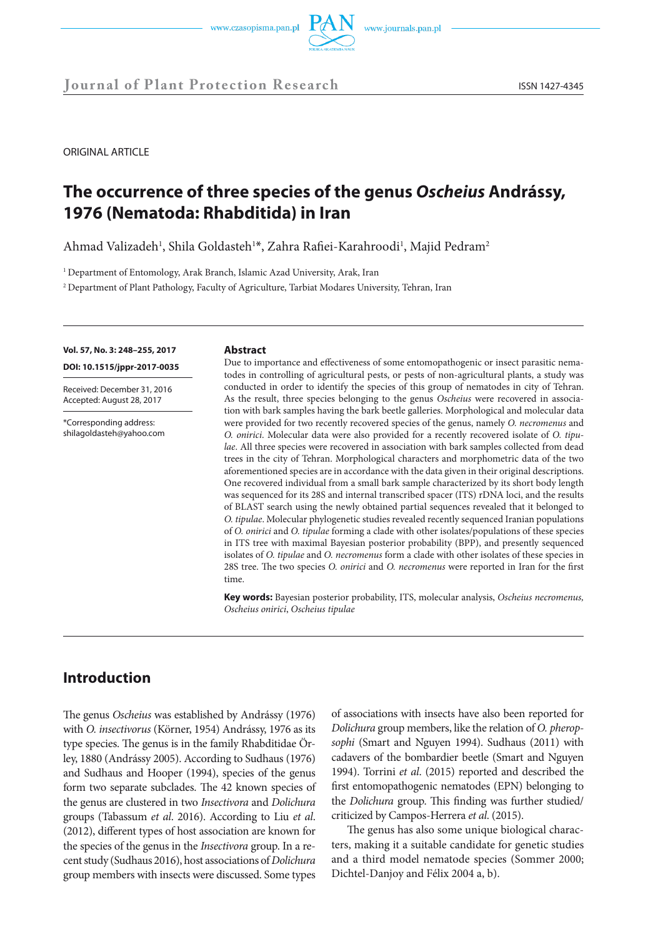



**Journal of Plant Protection Research** ISSN 1427-4345

ORIGINAL ARTICLE

# **The occurrence of three species of the genus** *Oscheius* **Andrássy, 1976 (Nematoda: Rhabditida) in Iran**

Ahmad Valizadeh<sup>1</sup>, Shila Goldasteh<sup>1\*</sup>, Zahra Rafiei-Karahroodi<sup>1</sup>, Majid Pedram<sup>2</sup>

<sup>1</sup> Department of Entomology, Arak Branch, Islamic Azad University, Arak, Iran

<sup>2</sup> Department of Plant Pathology, Faculty of Agriculture, Tarbiat Modares University, Tehran, Iran

**Vol. 57, No. 3: 248–255, 2017** 

**DOI: 10.1515/jppr-2017-0035**

Received: December 31, 2016 Accepted: August 28, 2017

\*Corresponding address: shilagoldasteh@yahoo.com

#### **Abstract**

Due to importance and effectiveness of some entomopathogenic or insect parasitic nematodes in controlling of agricultural pests, or pests of non-agricultural plants, a study was conducted in order to identify the species of this group of nematodes in city of Tehran. As the result, three species belonging to the genus *Oscheius* were recovered in association with bark samples having the bark beetle galleries. Morphological and molecular data were provided for two recently recovered species of the genus, namely *O. necromenus* and *O. onirici*. Molecular data were also provided for a recently recovered isolate of *O. tipulae*. All three species were recovered in association with bark samples collected from dead trees in the city of Tehran. Morphological characters and morphometric data of the two aforementioned species are in accordance with the data given in their original descriptions. One recovered individual from a small bark sample characterized by its short body length was sequenced for its 28S and internal transcribed spacer (ITS) rDNA loci, and the results of BLAST search using the newly obtained partial sequences revealed that it belonged to *O. tipulae*. Molecular phylogenetic studies revealed recently sequenced Iranian populations of *O. onirici* and *O. tipulae* forming a clade with other isolates/populations of these species in ITS tree with maximal Bayesian posterior probability (BPP), and presently sequenced isolates of *O. tipulae* and *O. necromenus* form a clade with other isolates of these species in 28S tree. The two species *O. onirici* and *O. necromenus* were reported in Iran for the first time.

**Key words:** Bayesian posterior probability, ITS, molecular analysis, *Oscheius necromenus, Oscheius onirici*, *Oscheius tipulae*

# **Introduction**

The genus *Oscheius* was established by Andrássy (1976) with *O. insectivorus* (Körner, 1954) Andrássy, 1976 as its type species. The genus is in the family Rhabditidae Örley, 1880 (Andrássy 2005). According to Sudhaus (1976) and Sudhaus and Hooper (1994), species of the genus form two separate subclades. The 42 known species of the genus are clustered in two *Insectivora* and *Dolichura* groups (Tabassum *et al*. 2016). According to Liu *et al*. (2012), different types of host association are known for the species of the genus in the *Insectivora* group. In a recent study (Sudhaus 2016), host associations of *Dolichura* group members with insects were discussed. Some types

of associations with insects have also been reported for *Dolichura* group members, like the relation of *O. pheropsophi* (Smart and Nguyen 1994). Sudhaus (2011) with cadavers of the bombardier beetle (Smart and Nguyen 1994). Torrini *et al*. (2015) reported and described the first entomopathogenic nematodes (EPN) belonging to the *Dolichura* group. This finding was further studied/ criticized by Campos-Herrera *et al*. (2015).

The genus has also some unique biological characters, making it a suitable candidate for genetic studies and a third model nematode species (Sommer 2000; Dichtel-Danjoy and Félix 2004 a, b).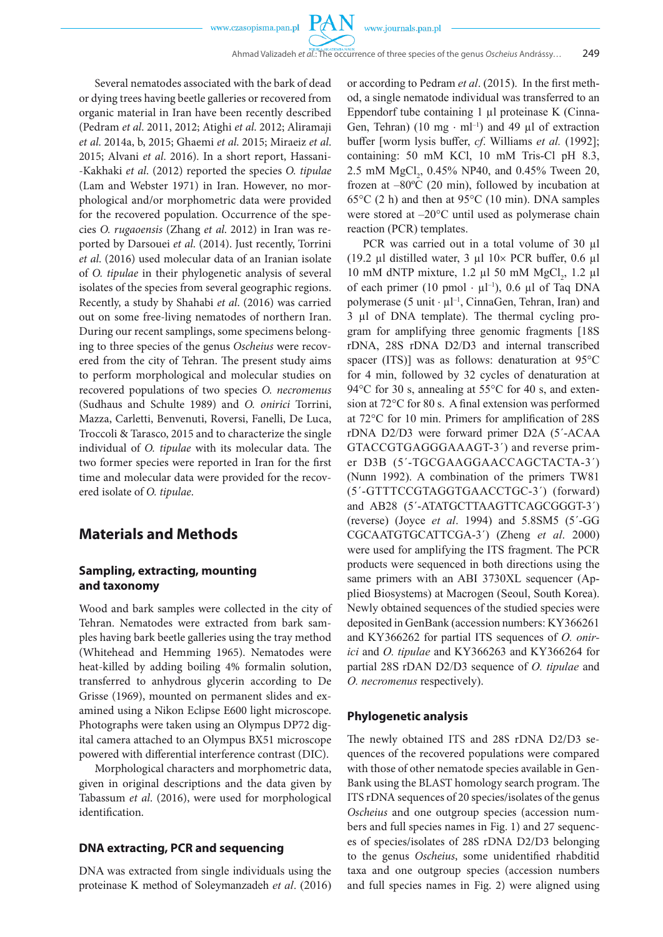PA

Several nematodes associated with the bark of dead or dying trees having beetle galleries or recovered from organic material in Iran have been recently described (Pedram *et al*. 2011, 2012; Atighi *et al*. 2012; Aliramaji *et al*. 2014a, b, 2015; Ghaemi *et al*. 2015; Miraeiz *et al*. 2015; Alvani *et al*. 2016). In a short report, Hassani- -Kakhaki *et al*. (2012) reported the species *O. tipulae* (Lam and Webster 1971) in Iran. However, no morphological and/or morphometric data were provided for the recovered population. Occurrence of the species *O. rugaoensis* (Zhang *et al*. 2012) in Iran was reported by Darsouei *et al*. (2014). Just recently, Torrini *et al*. (2016) used molecular data of an Iranian isolate of *O. tipulae* in their phylogenetic analysis of several isolates of the species from several geographic regions. Recently, a study by Shahabi *et al*. (2016) was carried out on some free-living nematodes of northern Iran. During our recent samplings, some specimens belonging to three species of the genus *Oscheius* were recovered from the city of Tehran. The present study aims to perform morphological and molecular studies on recovered populations of two species *O. necromenus* (Sudhaus and Schulte 1989) and *O. onirici* Torrini, Mazza, Carletti, Benvenuti, Roversi, Fanelli, De Luca, Troccoli & Tarasco, 2015 and to characterize the single individual of *O. tipulae* with its molecular data. The two former species were reported in Iran for the first time and molecular data were provided for the recovered isolate of *O. tipulae*.

### **Materials and Methods**

### **Sampling, extracting, mounting and taxonomy**

Wood and bark samples were collected in the city of Tehran. Nematodes were extracted from bark samples having bark beetle galleries using the tray method (Whitehead and Hemming 1965). Nematodes were heat-killed by adding boiling 4% formalin solution, transferred to anhydrous glycerin according to De Grisse (1969), mounted on permanent slides and examined using a Nikon Eclipse E600 light microscope. Photographs were taken using an Olympus DP72 digital camera attached to an Olympus BX51 microscope powered with differential interference contrast (DIC).

Morphological characters and morphometric data, given in original descriptions and the data given by Tabassum *et al*. (2016), were used for morphological identification.

### **DNA extracting, PCR and sequencing**

DNA was extracted from single individuals using the proteinase K method of Soleymanzadeh *et al*. (2016) or according to Pedram *et al*. (2015). In the first method, a single nematode individual was transferred to an Eppendorf tube containing  $1 \mu l$  proteinase K (Cinna-Gen, Tehran) (10 mg · ml<sup>-1</sup>) and 49 µl of extraction buffer [worm lysis buffer, *cf*. Williams *et al.* (1992]; containing: 50 mM KCl, 10 mM Tris-Cl pH 8.3, 2.5 mM  $MgCl_2$ , 0.45% NP40, and 0.45% Tween 20, frozen at –80ºC (20 min), followed by incubation at  $65^{\circ}$ C (2 h) and then at 95 $^{\circ}$ C (10 min). DNA samples were stored at –20°C until used as polymerase chain reaction (PCR) templates.

PCR was carried out in a total volume of 30 µl (19.2 µl distilled water, 3 µl  $10\times$  PCR buffer, 0.6 µl 10 mM dNTP mixture, 1.2  $\mu$ 1 50 mM MgCl<sub>2</sub>, 1.2  $\mu$ 1 of each primer (10 pmol  $\cdot \mu l^{-1}$ ), 0.6  $\mu l$  of Taq DNA polymerase (5 unit  $\cdot \mu l^{-1}$ , CinnaGen, Tehran, Iran) and 3 µl of DNA template). The thermal cycling program for amplifying three genomic fragments [18S rDNA, 28S rDNA D2/D3 and internal transcribed spacer (ITS)] was as follows: denaturation at 95°C for 4 min, followed by 32 cycles of denaturation at 94°C for 30 s, annealing at 55°C for 40 s, and extension at 72°C for 80 s. A final extension was performed at 72°C for 10 min. Primers for amplification of 28S rDNA D2/D3 were forward primer D2A (5´-ACAA GTACCGTGAGGGAAAGT-3´) and reverse primer D3B (5´-TGCGAAGGAACCAGCTACTA-3´) (Nunn 1992). A combination of the primers TW81 (5´-GTTTCCGTAGGTGAACCTGC-3´) (forward) and AB28 (5´-ATATGCTTAAGTTCAGCGGGT-3´) (reverse) (Joyce *et al*. 1994) and 5.8SM5 (5´-GG CGCAATGTGCATTCGA-3´) (Zheng *et al*. 2000) were used for amplifying the ITS fragment. The PCR products were sequenced in both directions using the same primers with an ABI 3730XL sequencer (Applied Biosystems) at Macrogen (Seoul, South Korea). Newly obtained sequences of the studied species were deposited in GenBank (accession numbers: KY366261 and KY366262 for partial ITS sequences of *O. onirici* and *O. tipulae* and KY366263 and KY366264 for partial 28S rDAN D2/D3 sequence of *O. tipulae* and *O. necromenus* respectively).

### **Phylogenetic analysis**

The newly obtained ITS and 28S rDNA D2/D3 sequences of the recovered populations were compared with those of other nematode species available in Gen-Bank using the BLAST homology search program. The ITS rDNA sequences of 20 species/isolates of the genus *Oscheius* and one outgroup species (accession numbers and full species names in Fig. 1) and 27 sequences of species/isolates of 28S rDNA D2/D3 belonging to the genus *Oscheius*, some unidentified rhabditid taxa and one outgroup species (accession numbers and full species names in Fig. 2) were aligned using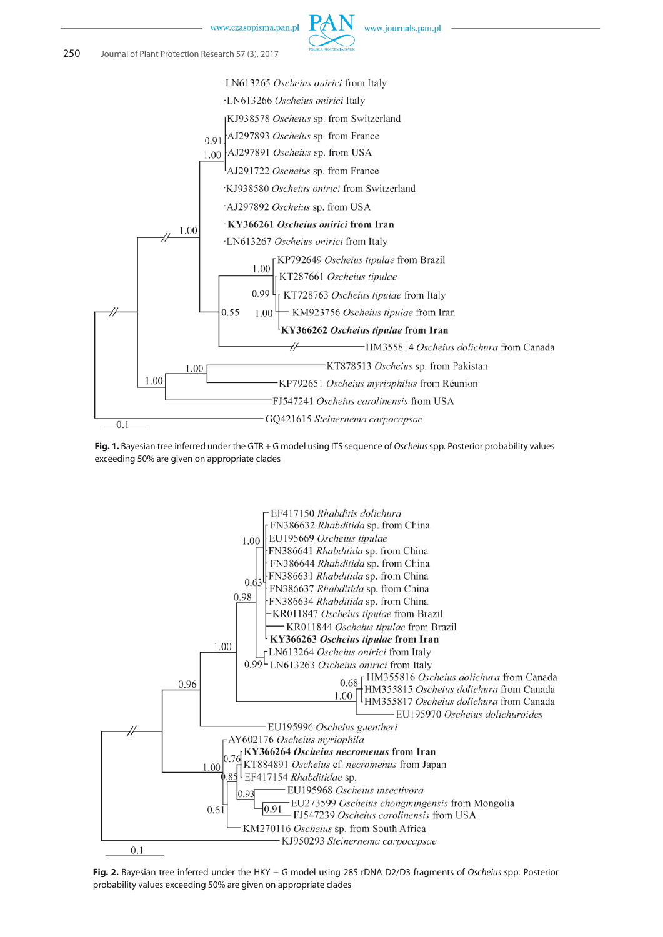







**Fig. 2.** Bayesian tree inferred under the HKY + G model using 28S rDNA D2/D3 fragments of *Oscheius* spp*.* Posterior probability values exceeding 50% are given on appropriate clades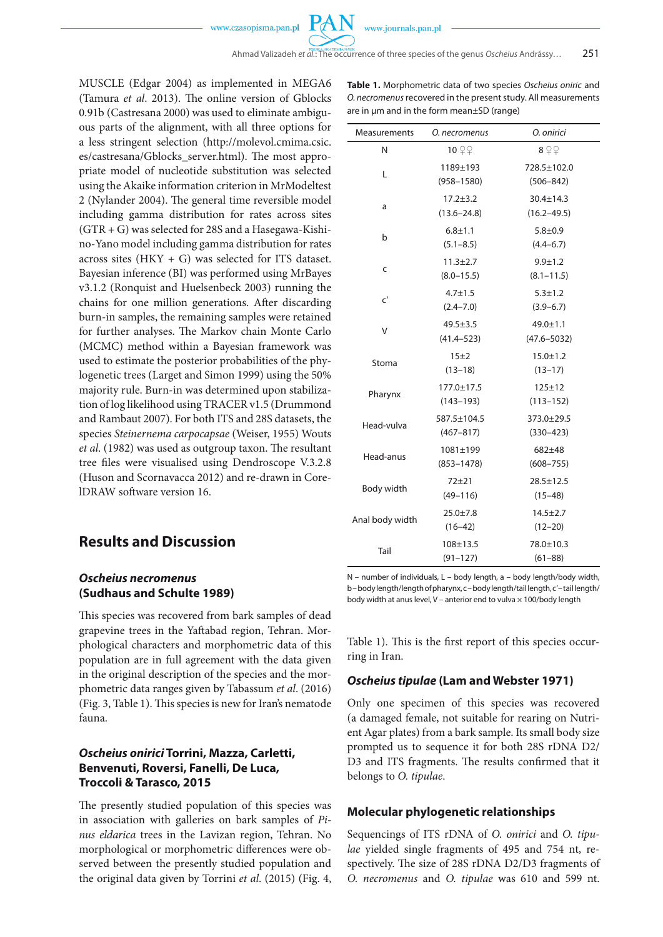MUSCLE (Edgar 2004) as implemented in MEGA6 (Tamura *et al*. 2013). The online version of Gblocks 0.91b (Castresana 2000) was used to eliminate ambiguous parts of the alignment, with all three options for a less stringent selection (http://molevol.cmima.csic. es/castresana/Gblocks\_server.html). The most appropriate model of nucleotide substitution was selected using the Akaike information criterion in MrModeltest 2 (Nylander 2004). The general time reversible model including gamma distribution for rates across sites (GTR + G) was selected for 28S and a Hasegawa-Kishino-Yano model including gamma distribution for rates across sites  $(HKY + G)$  was selected for ITS dataset. Bayesian inference (BI) was performed using MrBayes v3.1.2 (Ronquist and Huelsenbeck 2003) running the chains for one million generations. After discarding burn-in samples, the remaining samples were retained for further analyses. The Markov chain Monte Carlo (MCMC) method within a Bayesian framework was used to estimate the posterior probabilities of the phylogenetic trees (Larget and Simon 1999) using the 50% majority rule. Burn-in was determined upon stabilization of log likelihood using TRACER v1.5 (Drummond and Rambaut 2007). For both ITS and 28S datasets, the species *Steinernema carpocapsae* (Weiser, 1955) Wouts *et al*. (1982) was used as outgroup taxon. The resultant tree files were visualised using Dendroscope V.3.2.8 (Huson and Scornavacca 2012) and re-drawn in CorelDRAW software version 16.

# **Results and Discussion**

### *Oscheius necromenus* **(Sudhaus and Schulte 1989)**

This species was recovered from bark samples of dead grapevine trees in the Yaftabad region, Tehran. Morphological characters and morphometric data of this population are in full agreement with the data given in the original description of the species and the morphometric data ranges given by Tabassum *et al*. (2016) (Fig. 3, Table 1). This species is new for Iran's nematode fauna.

### *Oscheius onirici* **Torrini, Mazza, Carletti, Benvenuti, Roversi, Fanelli, De Luca, Troccoli & Tarasco, 2015**

The presently studied population of this species was in association with galleries on bark samples of *Pinus eldarica* trees in the Lavizan region, Tehran. No morphological or morphometric differences were observed between the presently studied population and the original data given by Torrini *et al*. (2015) (Fig. 4,

| Table 1. Morphometric data of two species Oscheius oniric and  |
|----------------------------------------------------------------|
| O. necromenus recovered in the present study. All measurements |
| are in um and in the form mean±SD (range)                      |

| Measurements    | O. necromenus                    | O. onirici                         |
|-----------------|----------------------------------|------------------------------------|
| N               | 10 $22$                          | 8Q                                 |
| L               | 1189±193<br>$(958 - 1580)$       | 728.5±102.0<br>$(506 - 842)$       |
| a               | $17.2 + 3.2$<br>$(13.6 - 24.8)$  | $30.4 \pm 14.3$<br>$(16.2 - 49.5)$ |
| b               | $6.8 + 1.1$<br>$(5.1 - 8.5)$     | $5.8 + 0.9$<br>$(4.4 - 6.7)$       |
| C               | $11.3 \pm 2.7$<br>$(8.0 - 15.5)$ | $9.9 + 1.2$<br>$(8.1 - 11.5)$      |
| $\mathsf{C}'$   | $4.7 \pm 1.5$<br>$(2.4 - 7.0)$   | $5.3 \pm 1.2$<br>$(3.9 - 6.7)$     |
| V               | $49.5 \pm 3.5$<br>$(41.4 - 523)$ | 49.0±1.1<br>$(47.6 - 5032)$        |
| Stoma           | 15±2<br>$(13 - 18)$              | $15.0 \pm 1.2$<br>$(13 - 17)$      |
| Pharynx         | 177.0±17.5<br>$(143 - 193)$      | $125 + 12$<br>$(113 - 152)$        |
| Head-vulva      | 587.5±104.5<br>$(467 - 817)$     | 373.0±29.5<br>$(330 - 423)$        |
| Head-anus       | 1081±199<br>$(853 - 1478)$       | 682±48<br>$(608 - 755)$            |
| Body width      | 72±21<br>$(49 - 116)$            | $28.5 \pm 12.5$<br>$(15 - 48)$     |
| Anal body width | $25.0 \pm 7.8$<br>$(16-42)$      | $14.5 \pm 2.7$<br>$(12 - 20)$      |
| Tail            | 108±13.5<br>$(91 - 127)$         | 78.0±10.3<br>$(61 - 88)$           |

N – number of individuals, L – body length, a – body length/body width, b – body length/length of pharynx, c – body length/tail length, c' – tail length/ body width at anus level, V – anterior end to vulva  $\times$  100/body length

Table 1). This is the first report of this species occurring in Iran.

### *Oscheius tipulae* **(Lam and Webster 1971)**

Only one specimen of this species was recovered (a damaged female, not suitable for rearing on Nutrient Agar plates) from a bark sample. Its small body size prompted us to sequence it for both 28S rDNA D2/ D3 and ITS fragments. The results confirmed that it belongs to *O. tipulae*.

### **Molecular phylogenetic relationships**

Sequencings of ITS rDNA of *O. onirici* and *O. tipulae* yielded single fragments of 495 and 754 nt, respectively. The size of 28S rDNA D2/D3 fragments of *O. necromenus* and *O. tipulae* was 610 and 599 nt.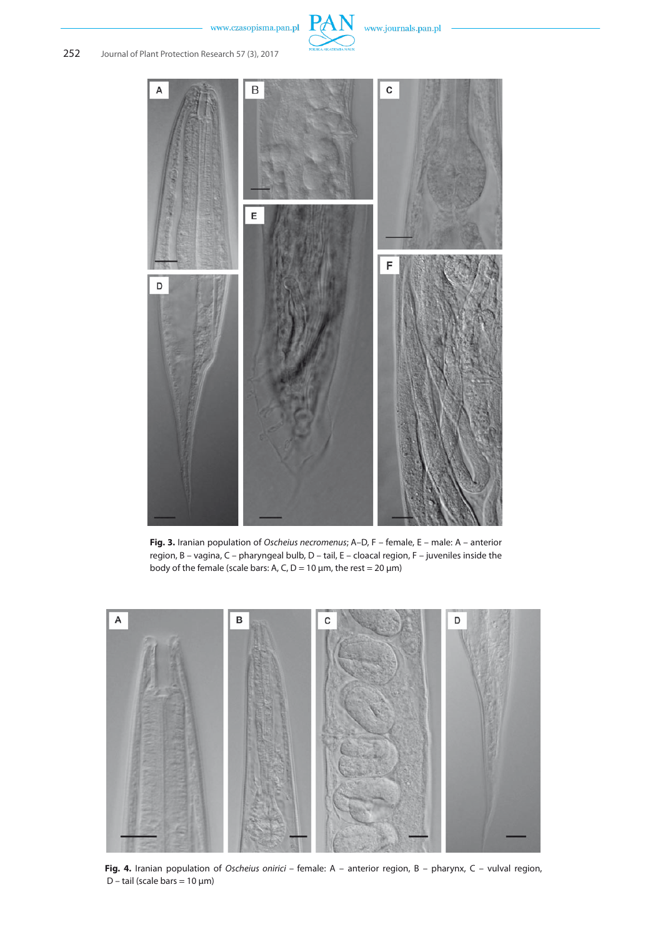



**Fig. 3.** Iranian population of *Oscheius necromenus*; A–D, F – female, E – male: A – anterior region, B – vagina, C – pharyngeal bulb, D – tail, E – cloacal region, F – juveniles inside the body of the female (scale bars: A, C,  $D = 10 \mu m$ , the rest = 20  $\mu m$ )



**Fig. 4.** Iranian population of *Oscheius onirici* – female: A – anterior region, B – pharynx, C – vulval region, D – tail (scale bars =  $10 \mu m$ )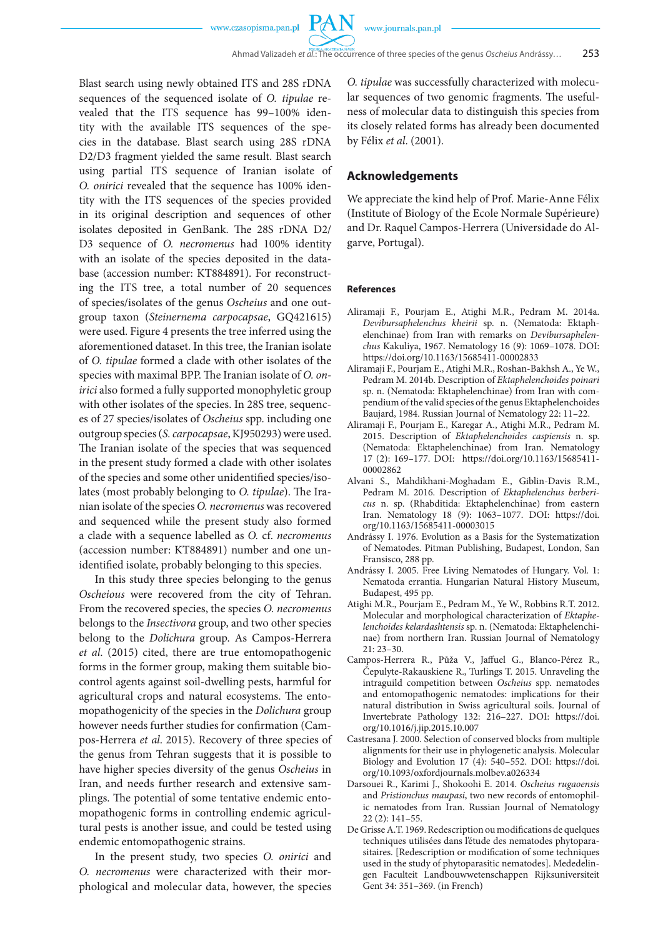**PAN** 

Blast search using newly obtained ITS and 28S rDNA sequences of the sequenced isolate of *O. tipulae* revealed that the ITS sequence has 99–100% identity with the available ITS sequences of the species in the database. Blast search using 28S rDNA D2/D3 fragment yielded the same result. Blast search using partial ITS sequence of Iranian isolate of *O. onirici* revealed that the sequence has 100% identity with the ITS sequences of the species provided in its original description and sequences of other isolates deposited in GenBank. The 28S rDNA D2/ D3 sequence of *O. necromenus* had 100% identity with an isolate of the species deposited in the database (accession number: KT884891). For reconstructing the ITS tree, a total number of 20 sequences of species/isolates of the genus *Oscheius* and one outgroup taxon (*Steinernema carpocapsae*, GQ421615) were used. Figure 4 presents the tree inferred using the aforementioned dataset. In this tree, the Iranian isolate of *O. tipulae* formed a clade with other isolates of the species with maximal BPP. The Iranian isolate of *O. onirici* also formed a fully supported monophyletic group with other isolates of the species. In 28S tree, sequences of 27 species/isolates of *Oscheius* spp. including one outgroup species (*S.carpocapsae*, KJ950293) were used. The Iranian isolate of the species that was sequenced in the present study formed a clade with other isolates of the species and some other unidentified species/isolates (most probably belonging to *O. tipulae*). The Iranian isolate of the species *O. necromenus* was recovered and sequenced while the present study also formed a clade with a sequence labelled as *O.* cf. *necromenus* (accession number: KT884891) number and one unidentified isolate, probably belonging to this species.

In this study three species belonging to the genus *Oscheious* were recovered from the city of Tehran. From the recovered species, the species *O. necromenus* belongs to the *Insectivora* group, and two other species belong to the *Dolichura* group. As Campos-Herrera *et al*. (2015) cited, there are true entomopathogenic forms in the former group, making them suitable biocontrol agents against soil-dwelling pests, harmful for agricultural crops and natural ecosystems. The entomopathogenicity of the species in the *Dolichura* group however needs further studies for confirmation (Campos-Herrera *et al*. 2015). Recovery of three species of the genus from Tehran suggests that it is possible to have higher species diversity of the genus *Oscheius* in Iran, and needs further research and extensive samplings. The potential of some tentative endemic entomopathogenic forms in controlling endemic agricultural pests is another issue, and could be tested using endemic entomopathogenic strains.

In the present study, two species *O. onirici* and *O. necromenus* were characterized with their morphological and molecular data, however, the species

*O. tipulae* was successfully characterized with molecular sequences of two genomic fragments. The usefulness of molecular data to distinguish this species from its closely related forms has already been documented by Félix *et al*. (2001).

#### **Acknowledgements**

We appreciate the kind help of Prof. Marie-Anne Félix (Institute of Biology of the Ecole Normale Supérieure) and Dr. Raquel Campos-Herrera (Universidade do Algarve, Portugal).

#### **References**

- Aliramaji F., Pourjam E., Atighi M.R., Pedram M. 2014a. *Devibursaphelenchus kheirii* sp. n. (Nematoda: Ektaphelenchinae) from Iran with remarks on *Devibursaphelenchus* Kakuliya, 1967. Nematology 16 (9): 1069–1078. DOI: https://doi.org/10.1163/15685411-00002833
- Aliramaji F., Pourjam E., Atighi M.R., Roshan-Bakhsh A., Ye W., Pedram M. 2014b. Description of *Ektaphelenchoides poinari* sp. n. (Nematoda: Ektaphelenchinae) from Iran with compendium of the valid species of the genus Ektaphelenchoides Baujard, 1984. Russian Journal of Nematology 22: 11–22.
- Aliramaji F., Pourjam E., Karegar A., Atighi M.R., Pedram M. 2015. Description of *Ektaphelenchoides caspiensis* n. sp. (Nematoda: Ektaphelenchinae) from Iran. Nematology 17 (2): 169–177. DOI: https://doi.org/10.1163/15685411- 00002862
- Alvani S., Mahdikhani-Moghadam E., Giblin-Davis R.M., Pedram M. 2016. Description of *Ektaphelenchus berbericus* n. sp. (Rhabditida: Ektaphelenchinae) from eastern Iran. Nematology 18 (9): 1063–1077. DOI: https://doi. org/10.1163/15685411-00003015
- Andrássy I. 1976. Evolution as a Basis for the Systematization of Nematodes. Pitman Publishing, Budapest, London, San Fransisco, 288 pp.
- Andrássy I. 2005. Free Living Nematodes of Hungary. Vol. 1: Nematoda errantia. Hungarian Natural History Museum, Budapest, 495 pp.
- Atighi M.R., Pourjam E., Pedram M., Ye W., Robbins R.T. 2012. Molecular and morphological characterization of *Ektaphelenchoides kelardashtensis* sp. n. (Nematoda: Ektaphelenchinae) from northern Iran. Russian Journal of Nematology 21: 23–30.
- Campos-Herrera R., Půža V., Jaffuel G., Blanco-Pérez R., Čepulyte-Rakauskiene R., Turlings T. 2015. Unraveling the intraguild competition between *Oscheius* spp. nematodes and entomopathogenic nematodes: implications for their natural distribution in Swiss agricultural soils. Journal of Invertebrate Pathology 132: 216–227. DOI: https://doi. org/10.1016/j.jip.2015.10.007
- Castresana J. 2000. Selection of conserved blocks from multiple alignments for their use in phylogenetic analysis. Molecular Biology and Evolution  $17(4)$ : 540–552. DOI: https://doi. org/10.1093/oxfordjournals.molbev.a026334
- Darsouei R., Karimi J., Shokoohi E. 2014. *Oscheius rugaoensis* and *Pristionchus maupasi*, two new records of entomophilic nematodes from Iran. Russian Journal of Nematology 22 (2): 141–55.
- De Grisse A.T. 1969. Redescription ou modifications de quelques techniques utilisées dans l'étude des nematodes phytoparasitaires. [Redescription or modification of some techniques used in the study of phytoparasitic nematodes]. Mededelingen Faculteit Landbouwwetenschappen Rijksuniversiteit Gent 34: 351–369. (in French)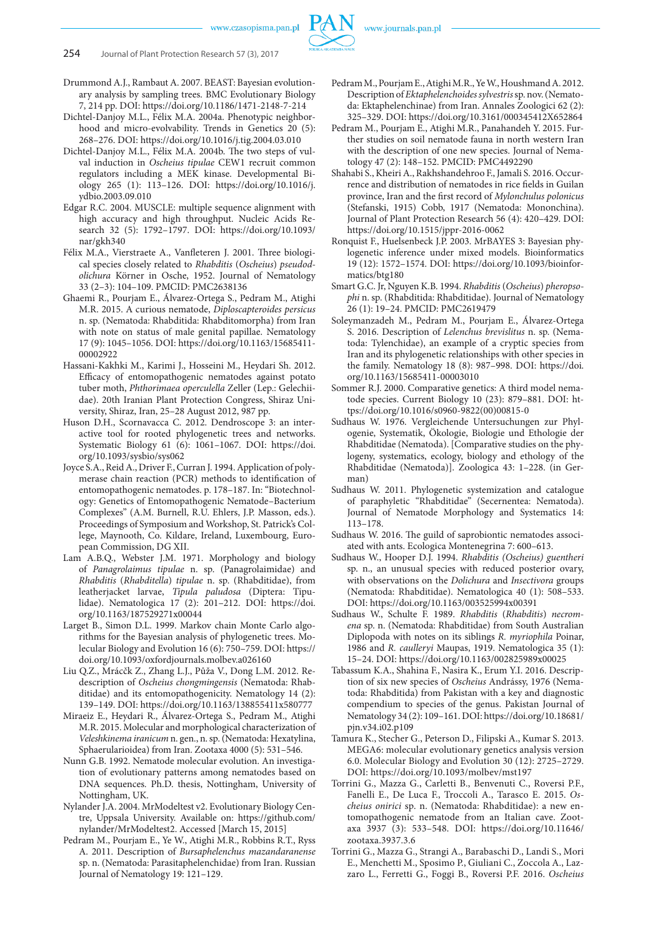

- Drummond A.J., Rambaut A. 2007. BEAST: Bayesian evolutionary analysis by sampling trees. BMC Evolutionary Biology 7, 214 pp. DOI: https://doi.org/10.1186/1471-2148-7-214
- Dichtel-Danjoy M.L., Félix M.A. 2004a. Phenotypic neighborhood and micro-evolvability. Trends in Genetics 20 (5): 268–276. DOI: https://doi.org/10.1016/j.tig.2004.03.010
- Dichtel-Danjoy M.L., Félix M.A. 2004b. The two steps of vulval induction in *Oscheius tipulae* CEW1 recruit common regulators including a MEK kinase. Developmental Biology 265 (1): 113–126. DOI: https://doi.org/10.1016/j. ydbio.2003.09.010
- Edgar R.C. 2004. MUSCLE: multiple sequence alignment with high accuracy and high throughput. Nucleic Acids Research 32 (5): 1792–1797. DOI: https://doi.org/10.1093/ nar/gkh340
- Félix M.A., Vierstraete A., Vanfleteren J. 2001. Three biological species closely related to *Rhabditis* (*Oscheius*) *pseudodolichura* Körner in Osche, 1952. Journal of Nematology 33 (2–3): 104–109. PMCID: PMC2638136
- Ghaemi R., Pourjam E., Álvarez-Ortega S., Pedram M., Atighi M.R. 2015. A curious nematode, *Diploscapteroides persicus* n. sp. (Nematoda: Rhabditida: Rhabditomorpha) from Iran with note on status of male genital papillae. Nematology 17 (9): 1045–1056. DOI: https://doi.org/10.1163/15685411- 00002922
- Hassani-Kakhki M., Karimi J., Hosseini M., Heydari Sh. 2012. Efficacy of entomopathogenic nematodes against potato tuber moth, *Phthorimaea operculella* Zeller (Lep.: Gelechiidae). 20th Iranian Plant Protection Congress, Shiraz University, Shiraz, Iran, 25–28 August 2012, 987 pp.
- Huson D.H., Scornavacca C. 2012. Dendroscope 3: an interactive tool for rooted phylogenetic trees and networks. Systematic Biology 61 (6): 1061–1067. DOI: https://doi. org/10.1093/sysbio/sys062
- Joyce S.A., Reid A., Driver F., Curran J. 1994. Application of polymerase chain reaction (PCR) methods to identification of entomopathogenic nematodes. p. 178–187. In: "Biotechnology: Genetics of Entomopathogenic Nematode–Bacterium Complexes" (A.M. Burnell, R.U. Ehlers, J.P. Masson, eds.). Proceedings of Symposium and Workshop, St. Patrick's College, Maynooth, Co. Kildare, Ireland, Luxembourg, European Commission, DG XII.
- Lam A.B.Q., Webster J.M. 1971. Morphology and biology of *Panagrolaimus tipulae* n. sp. (Panagrolaimidae) and *Rhabditis* (*Rhabditella*) *tipulae* n. sp. (Rhabditidae), from leatherjacket larvae, *Tipula paludosa* (Diptera: Tipulidae). Nematologica 17 (2): 201–212. DOI: https://doi. org/10.1163/187529271x00044
- Larget B., Simon D.L. 1999. Markov chain Monte Carlo algorithms for the Bayesian analysis of phylogenetic trees. Molecular Biology and Evolution 16 (6): 750–759. DOI: https:// doi.org/10.1093/oxfordjournals.molbev.a026160
- Liu Q.Z., Mrácčk Z., Zhang L.J., Půža V., Dong L.M. 2012. Redescription of *Oscheius chongmingensis* (Nematoda: Rhabditidae) and its entomopathogenicity. Nematology 14 (2): 139–149. DOI: https://doi.org/10.1163/138855411x580777
- Miraeiz E., Heydari R., Álvarez-Ortega S., Pedram M., Atighi M.R. 2015. Molecular and morphological characterization of *Veleshkinema iranicum* n. gen., n. sp. (Nematoda: Hexatylina, Sphaerularioidea) from Iran. Zootaxa 4000 (5): 531–546.
- Nunn G.B. 1992. Nematode molecular evolution. An investigation of evolutionary patterns among nematodes based on DNA sequences*.* Ph.D. thesis, Nottingham, University of Nottingham, UK.
- Nylander J.A. 2004. MrModeltest v2. Evolutionary Biology Centre, Uppsala University. Available on: https://github.com/ nylander/MrModeltest2. Accessed [March 15, 2015]
- Pedram M., Pourjam E., Ye W., Atighi M.R., Robbins R.T., Ryss A. 2011. Description of *Bursaphelenchus mazandaranense* sp. n. (Nematoda: Parasitaphelenchidae) from Iran. Russian Journal of Nematology 19: 121–129.
- Pedram M., Pourjam E., Atighi M.R., Ye W., Houshmand A. 2012. Description of *Ektaphelenchoides sylvestris* sp. nov. (Nematoda: Ektaphelenchinae) from Iran. Annales Zoologici 62 (2): 325–329. DOI: https://doi.org/10.3161/000345412X652864
- Pedram M., Pourjam E., Atighi M.R., Panahandeh Y. 2015. Further studies on soil nematode fauna in north western Iran with the description of one new species. Journal of Nematology 47 (2): 148–152. PMCID: PMC4492290
- Shahabi S., Kheiri A., Rakhshandehroo F., Jamali S. 2016. Occurrence and distribution of nematodes in rice fields in Guilan province, Iran and the first record of *Mylonchulus polonicus*  (Stefanski, 1915) Cobb, 1917 (Nematoda: Mononchina). Journal of Plant Protection Research 56 (4): 420–429. DOI: https://doi.org/10.1515/jppr-2016-0062
- Ronquist F., Huelsenbeck J.P. 2003. MrBAYES 3: Bayesian phylogenetic inference under mixed models. Bioinformatics 19 (12): 1572–1574. DOI: https://doi.org/10.1093/bioinformatics/btg180
- Smart G.C. Jr, Nguyen K.B. 1994. *Rhabditis* (*Oscheius*) *pheropsophi* n. sp. (Rhabditida: Rhabditidae). Journal of Nematology 26 (1): 19–24. PMCID: PMC2619479
- Soleymanzadeh M., Pedram M., Pourjam E., Álvarez-Ortega S. 2016. Description of *Lelenchus brevislitus* n. sp. (Nematoda: Tylenchidae), an example of a cryptic species from Iran and its phylogenetic relationships with other species in the family. Nematology 18 (8): 987–998. DOI: https://doi. org/10.1163/15685411-00003010
- Sommer R.J. 2000. Comparative genetics: A third model nematode species. Current Biology 10 (23): 879–881. DOI: https://doi.org/10.1016/s0960-9822(00)00815-0
- Sudhaus W. 1976. Vergleichende Untersuchungen zur Phylogenie, Systematik, Ökologie, Biologie und Ethologie der Rhabditidae (Nematoda). [Comparative studies on the phylogeny, systematics, ecology, biology and ethology of the Rhabditidae (Nematoda)]. Zoologica 43: 1–228. (in German)
- Sudhaus W. 2011. Phylogenetic systemization and catalogue of paraphyletic "Rhabditidae" (Secernentea: Nematoda). Journal of Nematode Morphology and Systematics 14: 113–178.
- Sudhaus W. 2016. The guild of saprobiontic nematodes associated with ants. Ecologica Montenegrina 7: 600–613.
- Sudhaus W., Hooper D.J. 1994. *Rhabditis (Oscheius) guentheri* sp. n., an unusual species with reduced posterior ovary, with observations on the *Dolichura* and *Insectivora* groups (Nematoda: Rhabditidae). Nematologica 40 (1): 508–533. DOI: https://doi.org/10.1163/003525994x00391
- Sudhaus W., Schulte F. 1989. *Rhabditis* (*Rhabditis*) *necromena* sp. n. (Nematoda: Rhabditidae) from South Australian Diplopoda with notes on its siblings *R. myriophila* Poinar, 1986 and *R. caulleryi* Maupas, 1919. Nematologica 35 (1): 15–24. DOI: https://doi.org/10.1163/002825989x00025
- Tabassum K.A., Shahina F., Nasira K., Erum Y.I. 2016. Description of six new species of *Oscheius* Andrássy, 1976 (Nematoda: Rhabditida) from Pakistan with a key and diagnostic compendium to species of the genus. Pakistan Journal of Nematology 34 (2): 109–161. DOI: https://doi.org/10.18681/ pjn.v34.i02.p109
- Tamura K., Stecher G., Peterson D., Filipski A., Kumar S. 2013. MEGA6: molecular evolutionary genetics analysis version 6.0. Molecular Biology and Evolution 30 (12): 2725–2729. DOI: https://doi.org/10.1093/molbev/mst197
- Torrini G., Mazza G., Carletti B., Benvenuti C., Roversi P.F., Fanelli E., De Luca F., Troccoli A., Tarasco E. 2015. *Oscheius onirici* sp. n. (Nematoda: Rhabditidae): a new entomopathogenic nematode from an Italian cave. Zootaxa 3937 (3): 533–548. DOI: https://doi.org/10.11646/ zootaxa.3937.3.6
- Torrini G., Mazza G., Strangi A., Barabaschi D., Landi S., Mori E., Menchetti M., Sposimo P., Giuliani C., Zoccola A., Lazzaro L., Ferretti G., Foggi B., Roversi P.F. 2016. *Oscheius*